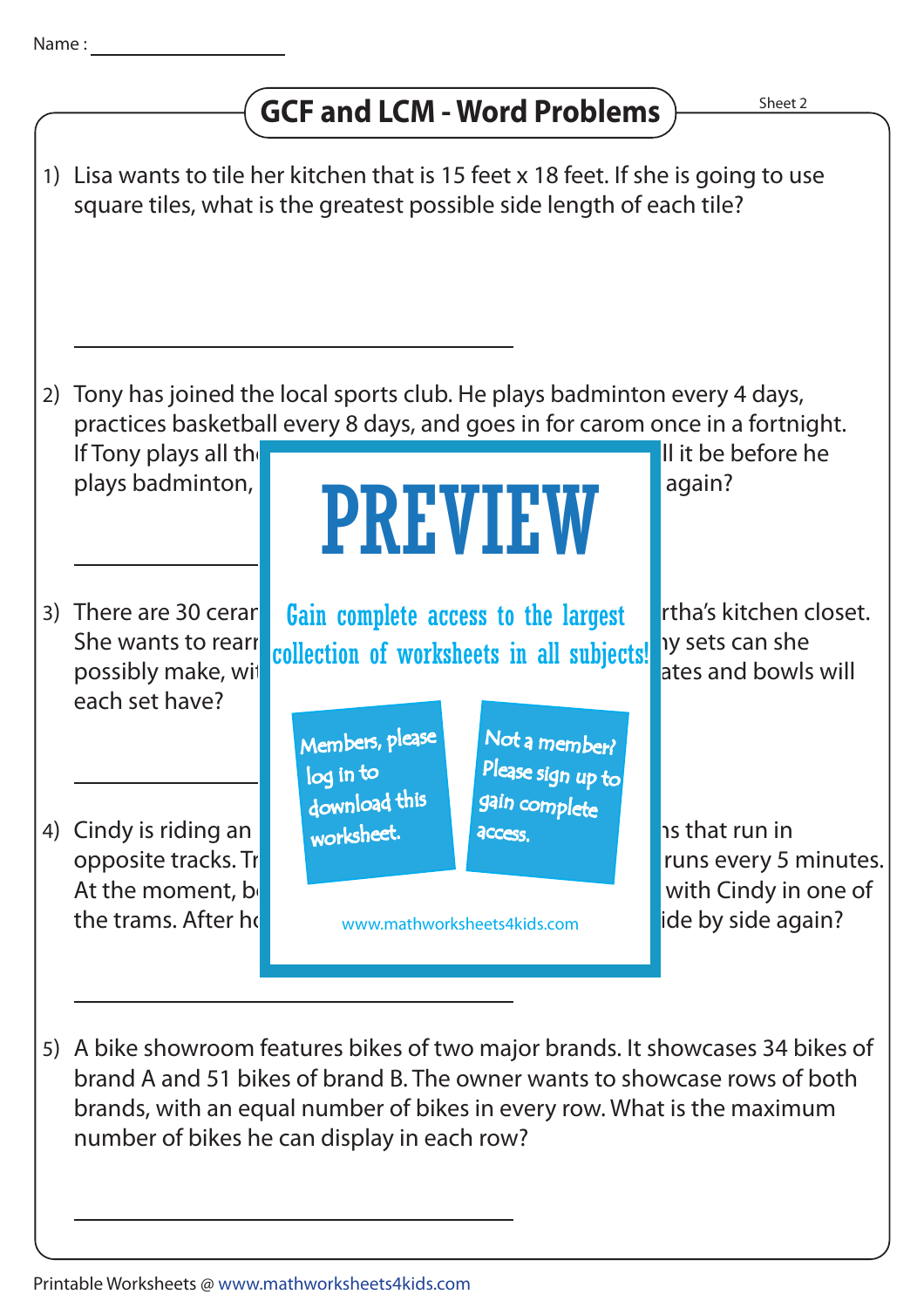## **GCF and LCM - Word Problems**



brand A and 51 bikes of brand B. The owner wants to showcase rows of both brands, with an equal number of bikes in every row. What is the maximum number of bikes he can display in each row?